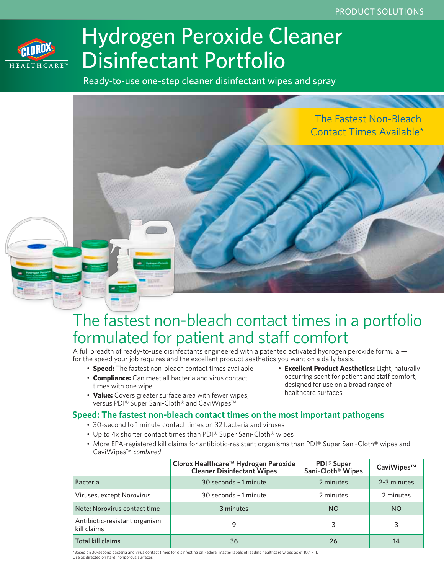

# Hydrogen Peroxide Cleaner Disinfectant Portfolio

Ready-to-use one-step cleaner disinfectant wipes and spray



# The fastest non-bleach contact times in a portfolio formulated for patient and staff comfort

A full breadth of ready-to-use disinfectants engineered with a patented activated hydrogen peroxide formula for the speed your job requires and the excellent product aesthetics you want on a daily basis.

- **Speed:** The fastest non-bleach contact times available
- **Compliance:** Can meet all bacteria and virus contact times with one wipe
- **Value:** Covers greater surface area with fewer wipes, versus PDI® Super Sani-Cloth® and CaviWipes™

#### • **Excellent Product Aesthetics:** Light, naturally occurring scent for patient and staff comfort; designed for use on a broad range of healthcare surfaces

### **Speed: The fastest non-bleach contact times on the most important pathogens**

- 30-second to 1 minute contact times on 32 bacteria and viruses
- Up to 4x shorter contact times than PDI® Super Sani-Cloth® wipes
- More EPA-registered kill claims for antibiotic-resistant organisms than PDI® Super Sani-Cloth® wipes and CaviWipes™ *combined*

|                                              | Clorox Healthcare™ Hydrogen Peroxide<br><b>Cleaner Disinfectant Wipes</b> | <b>PDI®</b> Super<br>Sani-Cloth <sup>®</sup> Wipes | CaviWipes™  |
|----------------------------------------------|---------------------------------------------------------------------------|----------------------------------------------------|-------------|
| <b>Bacteria</b>                              | 30 seconds - 1 minute                                                     | 2 minutes                                          | 2-3 minutes |
| Viruses, except Norovirus                    | 30 seconds - 1 minute                                                     | 2 minutes                                          | 2 minutes   |
| Note: Norovirus contact time                 | 3 minutes                                                                 | NO.                                                | <b>NO</b>   |
| Antibiotic-resistant organism<br>kill claims | 9                                                                         | 3                                                  | 3           |
| Total kill claims                            | 36                                                                        | 26                                                 | 14          |

\*Based on 30-second bacteria and virus contact times for disinfecting on Federal master labels of leading healthcare wipes as of 10/1/11. Use as directed on hard, nonporous surfaces.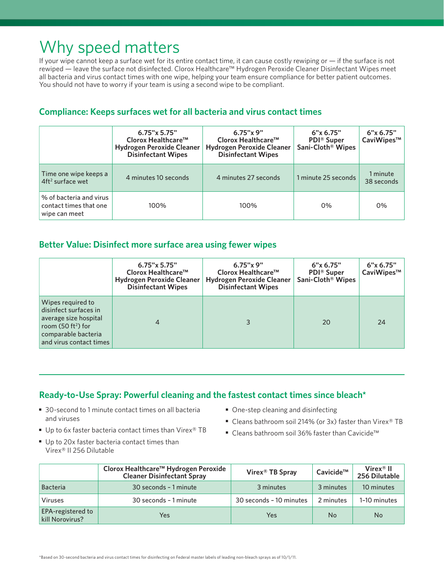# Why speed matters

If your wipe cannot keep a surface wet for its entire contact time, it can cause costly rewiping or — if the surface is not rewiped — leave the surface not disinfected. Clorox Healthcare™ Hydrogen Peroxide Cleaner Disinfectant Wipes meet all bacteria and virus contact times with one wipe, helping your team ensure compliance for better patient outcomes. You should not have to worry if your team is using a second wipe to be compliant.

### **Compliance: Keeps surfaces wet for all bacteria and virus contact times**

|                                                                    | $6.75" \times 5.75"$<br>Clorox Healthcare <sup>™</sup><br><b>Hydrogen Peroxide Cleaner</b><br><b>Disinfectant Wipes</b> | 6.75"x 9"<br>Clorox Healthcare <sup>™</sup><br><b>Hydrogen Peroxide Cleaner</b><br><b>Disinfectant Wipes</b> | 6"x 6.75"<br><b>PDI</b> ® Super<br>Sani-Cloth <sup>®</sup> Wipes | 6"x 6.75"<br>CaviWipes™ |
|--------------------------------------------------------------------|-------------------------------------------------------------------------------------------------------------------------|--------------------------------------------------------------------------------------------------------------|------------------------------------------------------------------|-------------------------|
| Time one wipe keeps a<br>$4ft2$ surface wet                        | 4 minutes 10 seconds                                                                                                    | 4 minutes 27 seconds                                                                                         | 1 minute 25 seconds                                              | 1 minute<br>38 seconds  |
| % of bacteria and virus<br>contact times that one<br>wipe can meet | 100%                                                                                                                    | 100%                                                                                                         | 0%                                                               | 0%                      |

### **Better Value: Disinfect more surface area using fewer wipes**

|                                                                                                                                              | 6.75"x 5.75"<br>Clorox Healthcare <sup>™</sup><br><b>Hydrogen Peroxide Cleaner</b><br><b>Disinfectant Wipes</b> | $6.75"$ x 9"<br>Clorox Healthcare <sup>™</sup><br><b>Hydrogen Peroxide Cleaner</b><br><b>Disinfectant Wipes</b> | 6"x 6.75"<br><b>PDI</b> ® Super<br>Sani-Cloth <sup>®</sup> Wipes | 6"x 6.75"<br>CaviWipes™ |
|----------------------------------------------------------------------------------------------------------------------------------------------|-----------------------------------------------------------------------------------------------------------------|-----------------------------------------------------------------------------------------------------------------|------------------------------------------------------------------|-------------------------|
| Wipes required to<br>disinfect surfaces in<br>average size hospital<br>room $(50 ft2)$ for<br>comparable bacteria<br>and virus contact times | 4                                                                                                               |                                                                                                                 | 20                                                               | 24                      |

### **Ready-to-Use Spray: Powerful cleaning and the fastest contact times since bleach\***

- 30-second to 1 minute contact times on all bacteria and viruses
- Up to 6x faster bacteria contact times than Virex® TB
- **One-step cleaning and disinfecting**
- Cleans bathroom soil 214% (or 3x) faster than Virex® TB
- Cleans bathroom soil 36% faster than Cavicide™
- Up to 20x faster bacteria contact times than Virex® II 256 Dilutable

|                                      | Clorox Healthcare <sup>™</sup> Hydrogen Peroxide<br><b>Cleaner Disinfectant Spray</b> | Virex <sup>®</sup> TB Spray | Cavicide™ | Virex <sup>®</sup> II<br>256 Dilutable |
|--------------------------------------|---------------------------------------------------------------------------------------|-----------------------------|-----------|----------------------------------------|
| <b>Bacteria</b>                      | 30 seconds - 1 minute                                                                 | 3 minutes                   | 3 minutes | 10 minutes                             |
| <b>Viruses</b>                       | 30 seconds - 1 minute                                                                 | 30 seconds - 10 minutes     | 2 minutes | 1-10 minutes                           |
| EPA-registered to<br>kill Norovirus? | Yes                                                                                   | Yes                         | No        | No.                                    |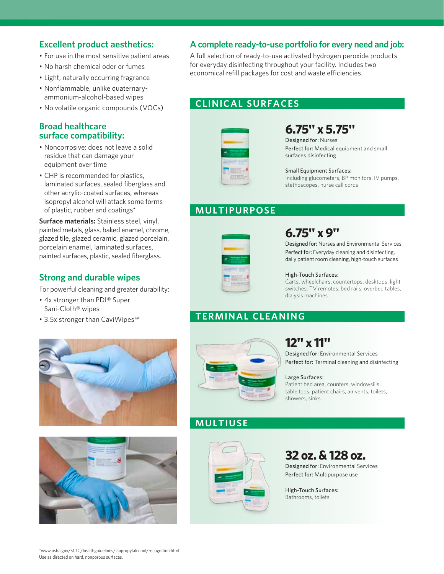### **Excellent product aesthetics:**

- For use in the most sensitive patient areas
- No harsh chemical odor or fumes
- Light, naturally occurring fragrance
- Nonflammable, unlike quaternary ammonium-alcohol-based wipes
- No volatile organic compounds (VOCs)

#### **Broad healthcare surface compatibility:**

- Noncorrosive: does not leave a solid residue that can damage your equipment over time
- CHP is recommended for plastics, laminated surfaces, sealed fiberglass and other acrylic-coated surfaces, whereas isopropyl alcohol will attack some forms of plastic, rubber and coatings\*

**Surface materials:** Stainless steel, vinyl, painted metals, glass, baked enamel, chrome, glazed tile, glazed ceramic, glazed porcelain, porcelain enamel, laminated surfaces, painted surfaces, plastic, sealed fiberglass.

### **Strong and durable wipes**

For powerful cleaning and greater durability:

- 4x stronger than PDI® Super Sani-Cloth® wipes
- 3.5x stronger than CaviWipes™





### **A complete ready-to-use portfolio for every need and job:**

A full selection of ready-to-use activated hydrogen peroxide products for everyday disinfecting throughout your facility. Includes two economical refill packages for cost and waste efficiencies.

### **CLINICAL SURFACES**



## **6.75" x 5.75"**

Designed for: Nurses Perfect for: Medical equipment and small surfaces disinfecting

#### Small Equipment Surfaces: Including glucometers, BP monitors, IV pumps, stethoscopes, nurse call cords

### **MULTIPURPOSE**



## **6.75" x 9"**

Designed for: Nurses and Environmental Services Perfect for: Everyday cleaning and disinfecting, daily patient room cleaning, high-touch surfaces

#### High-Touch Surfaces:

Carts, wheelchairs, countertops, desktops, light switches, TV remotes, bed rails, overbed tables, dialysis machines

### **TERMINAL CLEANING**



## **12" x 11"**

Designed for: Environmental Services Perfect for: Terminal cleaning and disinfecting

#### Large Surfaces:

Patient bed area, counters, windowsills, table tops, patient chairs, air vents, toilets, showers, sinks

### **MULTIUSE**



### **32 oz. & 128 oz.**

Designed for: Environmental Services Perfect for: Multipurpose use

High-Touch Surfaces: Bathrooms, toilets